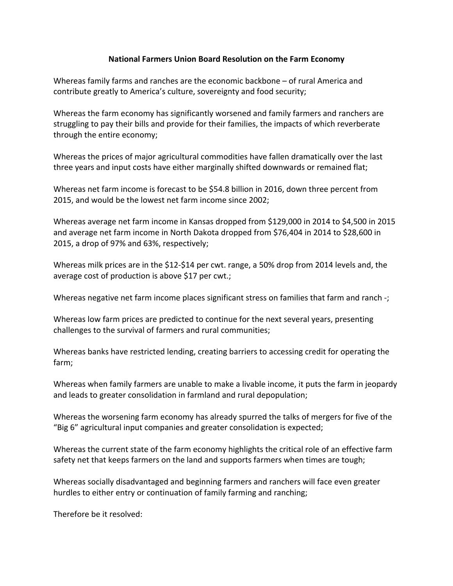## **National Farmers Union Board Resolution on the Farm Economy**

Whereas family farms and ranches are the economic backbone  $-$  of rural America and contribute greatly to America's culture, sovereignty and food security;

Whereas the farm economy has significantly worsened and family farmers and ranchers are struggling to pay their bills and provide for their families, the impacts of which reverberate through the entire economy;

Whereas the prices of major agricultural commodities have fallen dramatically over the last three years and input costs have either marginally shifted downwards or remained flat;

Whereas net farm income is forecast to be \$54.8 billion in 2016, down three percent from 2015, and would be the lowest net farm income since 2002;

Whereas average net farm income in Kansas dropped from \$129,000 in 2014 to \$4,500 in 2015 and average net farm income in North Dakota dropped from \$76,404 in 2014 to \$28,600 in 2015, a drop of 97% and 63%, respectively;

Whereas milk prices are in the \$12-\$14 per cwt. range, a 50% drop from 2014 levels and, the average cost of production is above  $$17$  per cwt.;

Whereas negative net farm income places significant stress on families that farm and ranch  $\cdot$ ;

Whereas low farm prices are predicted to continue for the next several years, presenting challenges to the survival of farmers and rural communities:

Whereas banks have restricted lending, creating barriers to accessing credit for operating the farm;

Whereas when family farmers are unable to make a livable income, it puts the farm in jeopardy and leads to greater consolidation in farmland and rural depopulation;

Whereas the worsening farm economy has already spurred the talks of mergers for five of the "Big 6" agricultural input companies and greater consolidation is expected;

Whereas the current state of the farm economy highlights the critical role of an effective farm safety net that keeps farmers on the land and supports farmers when times are tough;

Whereas socially disadvantaged and beginning farmers and ranchers will face even greater hurdles to either entry or continuation of family farming and ranching;

Therefore be it resolved: